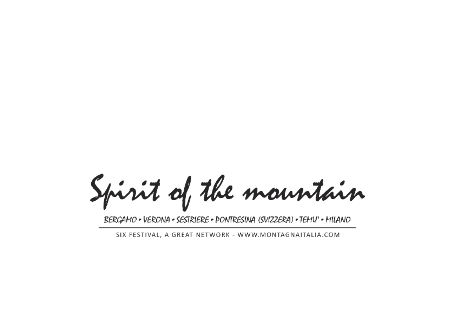Spirit of the mountain

BERGAMO • VERONA • SESTRIERE • PONTRESINA (SVIZZERA) • TEMU' • MILANO

SIX FESTIVAL, A GREAT NETWORK - WWW.MONTAGNAITALIA.COM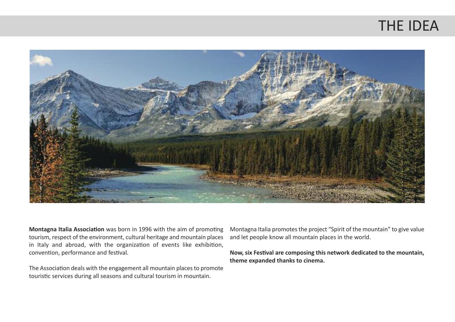#### THE IDEA



**Montagna Italia Association** was born in 1996 with the aim of promoting tourism, respect of the environment, cultural heritage and mountain places in Italy and abroad, with the organization of events like exhibition, convention, performance and festival.

The Association deals with the engagement all mountain places to promote touristic services during all seasons and cultural tourism in mountain.

Montagna Italia promotes the project "Spirit of the mountain" to give value and let people know all mountain places in the world.

**Now, six Festival are composing this network dedicated to the mountain, theme expanded thanks to cinema.**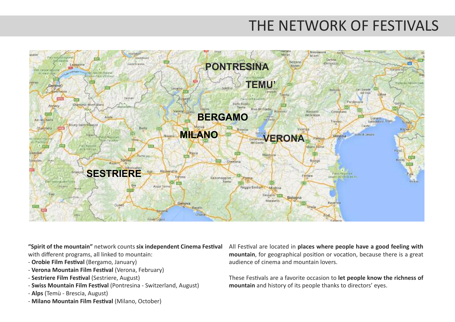## THE NETWORK OF FESTIVALS



**"Spirit of the mountain"** network counts **six independent Cinema Festival** with different programs, all linked to mountain:

- **Orobie Film Festival** (Bergamo, January)
- **Verona Mountain Film Festival** (Verona, February)
- **Sestriere Film Festival** (Sestriere, August)
- **Swiss Mountain Film Festival** (Pontresina Switzerland, August)
- **Alps** (Temù Brescia, August)
- **Milano Mountain Film Festival** (Milano, October)

All Festival are located in **places where people have a good feeling with mountain**, for geographical position or vocation, because there is a great audience of cinema and mountain lovers.

These Festivals are a favorite occasion to **let people know the richness of mountain** and history of its people thanks to directors' eyes.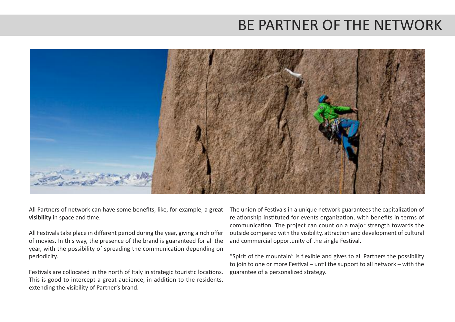## BE PARTNER OF THE NETWORK



All Partners of network can have some benefits, like, for example, a **great visibility** in space and time.

All Festivals take place in different period during the year, giving a rich offer of movies. In this way, the presence of the brand is guaranteed for all the year, with the possibility of spreading the communication depending on periodicity.

Festivals are collocated in the north of Italy in strategic touristic locations. This is good to intercept a great audience, in addition to the residents, extending the visibility of Partner's brand.

The union of Festivals in a unique network guarantees the capitalization of relationship instituted for events organization, with benefits in terms of communication. The project can count on a major strength towards the outside compared with the visibility, attraction and development of cultural and commercial opportunity of the single Festival.

"Spirit of the mountain" is flexible and gives to all Partners the possibility to join to one or more Festival – until the support to all network – with the guarantee of a personalized strategy.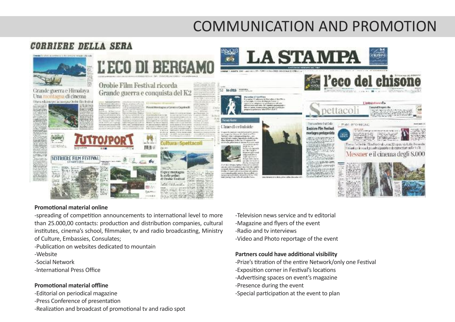# COMMUNICATION AND PROMOTION



#### **Promotional material online**

-spreading of competition announcements to international level to more than 25.000,00 contacts: production and distribution companies, cultural institutes, cinema's school, filmmaker, tv and radio broadcasting, Ministry of Culture, Embassies, Consulates;

-Publication on websites dedicated to mountain

- -Website
- -Social Network
- -International Press Office

#### **Promotional material offline**

-Editorial on periodical magazine -Press Conference of presentation -Realization and broadcast of promotional tv and radio spot

- -Television news service and tv editorial
- -Magazine and flyers of the event
- -Radio and tv interviews
- -Video and Photo reportage of the event

#### **Partners could have additional visibility**

- -Prize's titration of the entire Network/only one Festival
- -Exposition corner in Festival's locations
- -Advertising spaces on event's magazine
- -Presence during the event
- -Special participation at the event to plan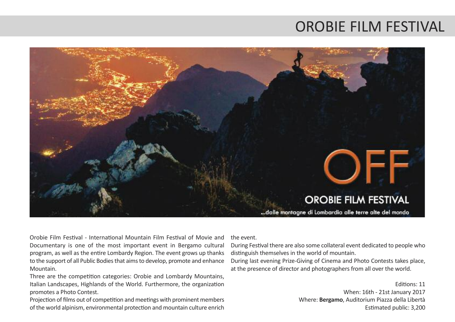#### OROBIE FILM FESTIVAL



Orobie Film Festival - International Mountain Film Festival of Movie and Documentary is one of the most important event in Bergamo cultural program, as well as the entire Lombardy Region. The event grows up thanks to the support of all Public Bodies that aims to develop, promote and enhance Mountain.

Three are the competition categories: Orobie and Lombardy Mountains, Italian Landscapes, Highlands of the World. Furthermore, the organization promotes a Photo Contest.

Projection of films out of competition and meetings with prominent members of the world alpinism, environmental protection and mountain culture enrich

the event.

During Festival there are also some collateral event dedicated to people who distinguish themselves in the world of mountain.

During last evening Prize-Giving of Cinema and Photo Contests takes place, at the presence of director and photographers from all over the world.

> Editions: 11 When: 16th - 21st January 2017 Where: **Bergamo**, Auditorium Piazza della Libertà Estimated public: 3,200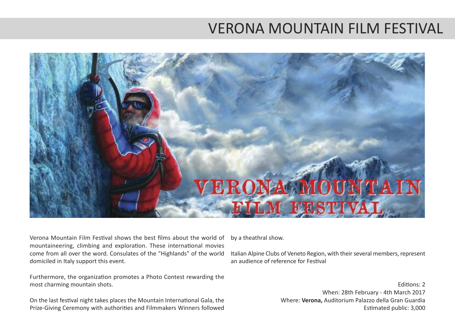### VERONA MOUNTAIN FILM FESTIVAL



Verona Mountain Film Festival shows the best films about the world of mountaineering, climbing and exploration. These international movies come from all over the word. Consulates of the "Highlands" of the world domiciled in Italy support this event.

Furthermore, the organization promotes a Photo Contest rewarding the most charming mountain shots.

On the last festival night takes places the Mountain International Gala, the Prize-Giving Ceremony with authorities and Filmmakers Winners followed

by a theathral show.

Italian Alpine Clubs of Veneto Region, with theirseveral members, represent an audience of reference for Festival

> Editions: 2 When: 28th February - 4th March 2017 Where: **Verona,** Auditorium Palazzo della Gran Guardia Estimated public: 3,000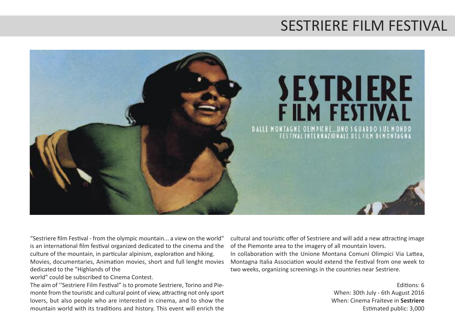### SESTRIERE FILM FESTIVAL



"Sestriere film Festival - from the olympic mountain... a view on the world" is an international film festival organized dedicated to the cinema and the culture of the mountain, in particular alpinism, exploration and hiking. Movies, documentaries, Animation movies, short and full lenght movies dedicated to the "Highlands of the

world" could be subscribed to Cinema Contest.

The aim of ''Sestriere Film Festival" isto promote Sestriere, Torino and Piemonte from the touristic and cultural point of view, attracting not only sport lovers, but also people who are interested in cinema, and to show the mountain world with its traditions and history. This event will enrich the cultural and touristic offer of Sestriere and will add a new attracting image of the Piemonte area to the imagery of all mountain lovers.

In collaboration with the Unione Montana Comuni Olimpici Via Lattea, Montagna Italia Association would extend the Festival from one week to two weeks, organizing screenings in the countries near Sestriere.

> Editions: 6 When: 30th July - 6th August 2016 When: Cinema Fraiteve in **Sestriere** Estimated public: 3,000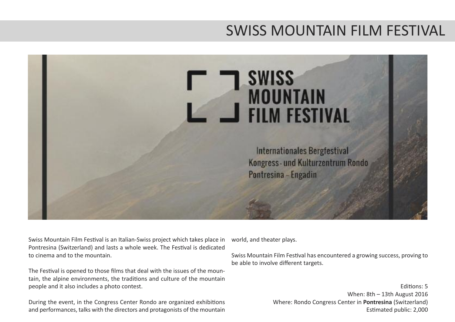#### SWISS MOUNTAIN FILM FESTIVAL



Swiss Mountain Film Festival is an Italian-Swiss project which takes place in Pontresina (Switzerland) and lasts a whole week. The Festival is dedicated to cinema and to the mountain.

The Festival is opened to those films that deal with the issues of the mountain, the alpine environments, the traditions and culture of the mountain people and it also includes a photo contest.

During the event, in the Congress Center Rondo are organized exhibitions and performances, talks with the directors and protagonists of the mountain

world, and theater plays.

Swiss Mountain Film Festival has encountered a growing success, proving to be able to involve different targets.

> Editions: 5 When: 8th – 13th August 2016 Where: Rondo Congress Center in **Pontresina** (Switzerland) Estimated public: 2,000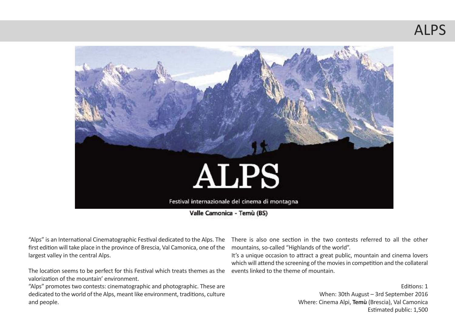# ALPS



Valle Camonica - Temù (BS)

"Alps" is an International Cinematographic Festival dedicated to the Alps. The first edition will take place in the province of Brescia, Val Camonica, one of the largest valley in the central Alps.

The location seems to be perfect for this Festival which treats themes as the valorization of the mountain' environment.

"Alps" promotes two contests: cinematographic and photographic. These are dedicated to the world of the Alps, meant like environment, traditions, culture and people.

There is also one section in the two contests referred to all the other mountains, so-called "Highlands of the world".

It's a unique occasion to attract a great public, mountain and cinema lovers which will attend the screening of the movies in competition and the collateral events linked to the theme of mountain.

> Editions: 1 When: 30th August – 3rd September 2016 Where: Cinema Alpi, **Temù** (Brescia), Val Camonica Estimated public: 1,500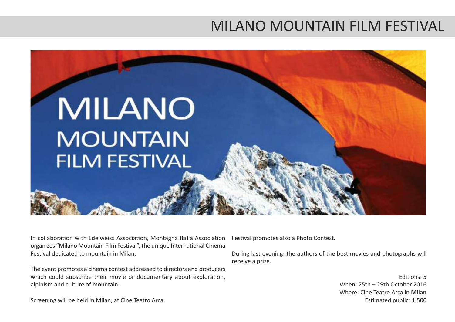### MILANO MOUNTAIN FILM FESTIVAL



In collaboration with Edelweiss Association, Montagna Italia Association organizes "Milano Mountain Film Festival", the unique International Cinema Festival dedicated to mountain in Milan.

The event promotes a cinema contest addressed to directors and producers which could subscribe their movie or documentary about exploration, alpinism and culture of mountain.

Festival promotes also a Photo Contest.

During last evening, the authors of the best movies and photographs will receive a prize.

> Editions: 5 When: 25th – 29th October 2016 Where: Cine Teatro Arca in **Milan** Estimated public: 1,500

Screening will be held in Milan, at Cine Teatro Arca.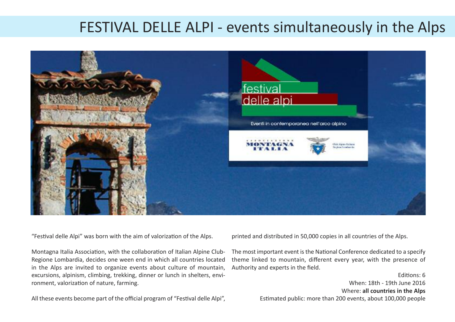#### FESTIVAL DELLE ALPI - events simultaneously in the Alps



"Festival delle Alpi" was born with the aim of valorization of the Alps.

Montagna Italia Association, with the collaboration of Italian Alpine Club-Regione Lombardia, decides one ween end in which all countries located in the Alps are invited to organize events about culture of mountain, excursions, alpinism, climbing, trekking, dinner or lunch in shelters, environment, valorization of nature, farming.

All these events become part of the official program of "Festival delle Alpi",

printed and distributed in 50,000 copies in all countries of the Alps.

The most important event is the National Conference dedicated to a specify theme linked to mountain, different every year, with the presence of Authority and experts in the field.

> Editions: 6 When: 18th - 19th June 2016 Where: **all countries in the Alps** Estimated public: more than 200 events, about 100,000 people